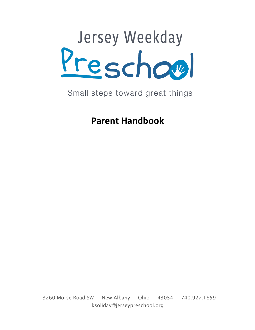

# Small steps toward great things

**Parent Handbook**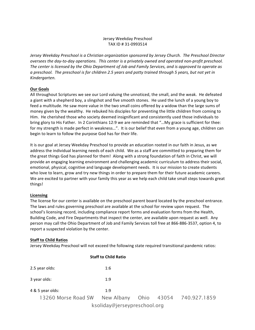# Jersey Weekday Preschool TAX ID # 31-0993514

*Jersey Weekday Preschool is a Christian organization sponsored by Jersey Church. The Preschool Director oversees the day-to-day operations. This center is a privately owned and operated non-profit preschool.* The center is licensed by the Ohio Department of Job and Family Services, and is approved to operate as *a preschool. The preschool is for children 2.5 years and potty trained through 5 years, but not yet in Kindergarten.* 

# **Our Goals**

All throughout Scriptures we see our Lord valuing the unnoticed, the small, and the weak. He defeated a giant with a shepherd boy, a slingshot and five smooth stones. He used the lunch of a young boy to feed a multitude. He saw more value in the two small coins offered by a widow than the large sums of money given by the wealthy. He rebuked his disciples for preventing the little children from coming to Him. He cherished those who society deemed insignificant and consistently used those individuals to bring glory to His Father. In 2 Corinthians 12:9 we are reminded that "...My grace is sufficient for thee: for my strength is made perfect in weakness...". It is our belief that even from a young age, children can begin to learn to follow the purpose God has for their life.

It is our goal at Jersey Weekday Preschool to provide an education rooted in our faith in Jesus, as we address the individual learning needs of each child. We as a staff are committed to preparing them for the great things God has planned for them! Along with a strong foundation of faith in Christ, we will provide an engaging learning environment and challenging academic curriculum to address their social, emotional, physical, cognitive and language development needs. It is our mission to create students who love to learn, grow and try new things in order to prepare them for their future academic careers. We are excited to partner with your family this year as we help each child take small steps towards great things!

# **Licensing**

The license for our center is available on the preschool parent board located by the preschool entrance. The laws and rules governing preschool are available at the school for review upon request. The school's licensing record, including compliance report forms and evaluation forms from the Health, Building Code, and Fire Departments that inspect the center, are available upon request as well. Any person may call the Ohio Department of Job and Family Services toll free at 866-886-3537, option 4, to report a suspected violation by the center.

# **Staff to Child Ratios**

Jersey Weekday Preschool will not exceed the following state required transitional pandemic ratios:

|                     | <b>Staff to Child Ratio</b>  |  |                                    |
|---------------------|------------------------------|--|------------------------------------|
| 2.5 year olds:      | 1:6                          |  |                                    |
| 3 year olds:        | 1:9                          |  |                                    |
| 4 & 5 year olds:    | 1:9                          |  |                                    |
| 13260 Morse Road SW |                              |  | New Albany Ohio 43054 740.927.1859 |
|                     | ksoliday@jerseypreschool.org |  |                                    |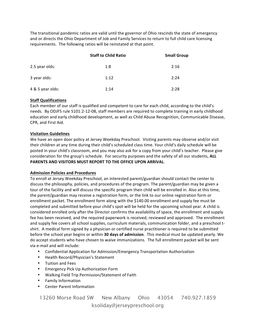The transitional pandemic ratios are valid until the governor of Ohio rescinds the state of emergency and or directs the Ohio Department of Job and Family Services to return to full child care licensing requirements. The following ratios will be reinstated at that point.

|                  | <b>Staff to Child Ratio</b> | <b>Small Group</b> |
|------------------|-----------------------------|--------------------|
| 2.5 year olds:   | 1:8                         | 2:16               |
| 3 year olds:     | 1:12                        | 2:24               |
| 4 & 5 year olds: | 1:14                        | 2:28               |

# **Staff Qualifications**

Each member of our staff is qualified and competent to care for each child, according to the child's needs. By ODJFS rule 5101:2-12-08, staff members are required to complete training in early childhood education and early childhood development, as well as Child Abuse Recognition, Communicable Disease, CPR, and First Aid.

# **Visitation Guidelines**

We have an open door policy at Jersey Weekday Preschool. Visiting parents may observe and/or visit their children at any time during their child's scheduled class time. Your child's daily schedule will be posted in your child's classroom, and you may also ask for a copy from your child's teacher. Please give consideration for the group's schedule. For security purposes and the safety of all our students, ALL PARENTS AND VISITORS MUST REPORT TO THE OFFICE UPON ARRIVAL.

#### **Admission Policies and Procedures**

To enroll at Jersey Weekday Preschool, an interested parent/guardian should contact the center to discuss the philosophy, policies, and procedures of the program. The parent/guardian may be given a tour of the facility and will discuss the specific program their child will be enrolled in. Also at this time, the parent/guardian may receive a registration form, or the link to our online registration form or enrollment packet. The enrollment form along with the \$140.00 enrollment and supply fee must be completed and submitted before your child's spot will be held for the upcoming school year. A child is considered enrolled only after the Director confirms the availability of space, the enrollment and supply fee has been received, and the required paperwork is received, reviewed and approved. The enrollment and supply fee covers all school supplies, curriculum materials, communication folder, and a preschool tshirt. A medical form signed by a physician or certified nurse practitioner is required to be submitted before the school year begins or within **30 days of admission**. This medical must be updated yearly. We do accept students who have chosen to waive immunizations. The full enrollment packet will be sent via e-mail and will include:

- Confidential Application for Admission/Emergency Transportation Authorization
- Health Record/Physician's Statement
- Tuition and Fees
- Emergency Pick Up Authorization Form
- Walking Field Trip Permission/Statement of Faith
- Family Information
- Center Parent Information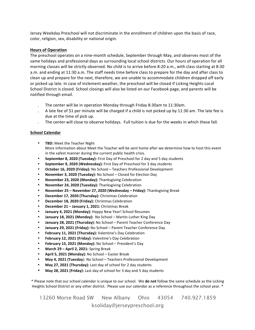Jersey Weekday Preschool will not discriminate in the enrollment of children upon the basis of race, color, religion, sex, disability or national origin.

#### **Hours of Operation**

The preschool operates on a nine-month schedule, September through May, and observes most of the same holidays and professional days as surrounding local school districts. Our hours of operation for all morning classes will be strictly observed. No child is to arrive before 8:20 a.m., with class starting at 8:30 a.m. and ending at 11:30 a.m. The staff needs time before class to prepare for the day and after class to clean up and prepare for the next, therefore, we are unable to accommodate children dropped off early or picked up late. In case of inclement weather, the preschool will be closed if Licking Heights Local School District is closed. School closings will also be listed on our Facebook page, and parents will be notified through email.

- The center will be in operation Monday through Friday 8:30am to 11:30am.
- A late fee of \$1 per minute will be charged if a child is not picked up by 11:30 am. The late fee is due at the time of pick up.
- The center will close to observe holidays. Full tuition is due for the weeks in which these fall.

#### **School Calendar**

- **TBD:** Meet the Teacher Night More information about Meet the Teacher will be sent home after we determine how to host this event in the safest manner during the current public health crisis.
- September 8, 2020 (Tuesday): First Day of Preschool for 2 day and 5 day students
- September 9, 2020 (Wednesday): First Day of Preschool for 3 day students
- **October 16, 2020 (Friday):** No School Teachers Professional Development
- **November 3, 2020 (Tuesday):** No School Closed for Election Day
- **November 23, 2020 (Monday): Thanksgiving Celebration**
- November 24, 2020 (Tuesday): Thanksgiving Celebration
- **November 25 November 27, 2020 (Wednesday Friday): Thanksgiving Break**
- **December 17, 2020 (Thursday):** Christmas Celebration
- December 18, 2020 (Friday): Christmas Celebration
- **December 21 January 1, 2021:** Christmas Break
- January 4, 2021 (Monday): Happy New Year! School Resumes
- January 18, 2021 (Monday): No School Martin Luther King Day
- January 28, 2021 (Thursday): No School Parent Teacher Conference Day
- January 29, 2021 (Friday): No School Parent Teacher Conference Day
- **February 11, 2021 (Thursday):** Valentine's Day Celebration
- February 12, 2021 (Friday): Valentine's Day Celebration
- **February 15, 2021 (Monday):** No School President's Day
- **March 29 April 2, 2021:** Spring Break
- April 5, 2021 (Monday): No School Easter Break
- **May 4, 2021 (Tuesday):** No School Teachers Professional Development
- May 27, 2021 (Thursday): Last day of school for 2 day students
- May 28, 2021 (Friday): Last day of school for 3 day and 5 day students

\* Please note that our school calendar is unique to our school. We **do not** follow the same schedule as the Licking Heights School District or any other district. Please use our calendar as a reference throughout the school year. \*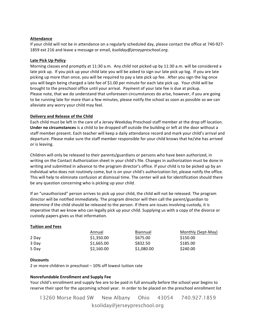#### **Attendance**

If your child will not be in attendance on a regularly scheduled day, please contact the office at 740-927-1859 ext 216 and leave a message or email, *ksoliday@jerseypreschool.org*.

#### **Late Pick Up Policy**

Morning classes end promptly at 11:30 a.m. Any child not picked up by 11:30 a.m. will be considered a late pick up. If you pick up your child late you will be asked to sign our late pick up log. If you are late picking up more than once, you will be required to pay a late pick up fee. After you sign the log once you will begin being charged a late fee of \$1.00 per minute for each late pick up. Your child will be brought to the preschool office until your arrival. Payment of your late fee is due at pickup. Please note, that we do understand that unforeseen circumstances do arise, however, if you are going to be running late for more than a few minutes, please notify the school as soon as possible so we can alleviate any worry your child may feel.

# **Delivery and Release of the Child**

Each child must be left in the care of a Jersey Weekday Preschool staff member at the drop off location. **Under no circumstances** is a child to be dropped off outside the building or left at the door without a staff member present. Each teacher will keep a daily attendance record and mark your child's arrival and departure. Please make sure the staff member responsible for your child knows that he/she has arrived or is leaving.

Children will only be released to their parents/guardians or persons who have been authorized, in writing on the Contact Authorization sheet in your child's file. Changes in authorization must be done in writing and submitted in advance to the program director's office. If your child is to be picked up by an individual who does not routinely come, but is on your child's authorization list, please notify the office. This will help to eliminate confusion at dismissal time. The center will ask for identification should there be any question concerning who is picking up your child.

If an "unauthorized" person arrives to pick up your child, the child will not be released. The program director will be notified immediately. The program director will then call the parent/guardian to determine if the child should be released to the person. If there are issues involving custody, it is imperative that we know who can legally pick up your child. Supplying us with a copy of the divorce or custody papers gives us that information.

# **Tuition and Fees**

|       | Annual     | Biannual   | Monthly (Sept-May) |
|-------|------------|------------|--------------------|
| 2 Day | \$1,350.00 | \$675.00   | \$150.00           |
| 3 Day | \$1,665.00 | \$832.50   | \$185.00           |
| 5 Day | \$2,160.00 | \$1,080.00 | \$240.00           |

# **Discounts**

2 or more children in preschool  $-$  10% off lowest tuition rate

# **Nonrefundable Enrollment and Supply Fee**

Your child's enrollment and supply fee are to be paid in full annually before the school year begins to reserve their spot for the upcoming school year. In order to be placed on the preschool enrollment list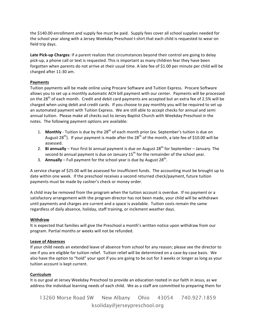the \$140.00 enrollment and supply fee must be paid. Supply fees cover all school supplies needed for the school year along with a Jersey Weekday Preschool t-shirt that each child is requested to wear on field trip days.

Late Pick-up Charges: If a parent realizes that circumstances beyond their control are going to delay pick-up, a phone call or text is requested. This is important as many children fear they have been forgotten when parents do not arrive at their usual time. A late fee of \$1.00 per minute per child will be charged after 11:30 am. 

# **Payments**

Tuition payments will be made online using Procare Software and Tuition Express. Procare Software allows you to set up a monthly automatic ACH bill payment with our center. Payments will be processed on the 28<sup>th</sup> of each month. Credit and debit card payments are accepted but an extra fee of 2.5% will be charged when using debit and credit cards. If you choose to pay monthly you will be required to set up an automated payment with Tuition Express. We are still able to accept checks for annual and semi annual tuition. Please make all checks out to Jersey Baptist Church with Weekday Preschool in the notes. The following payment options are available:

- 1. **Monthly** Tuition is due by the 28<sup>th</sup> of each month prior (ex. September's tuition is due on August  $28^{th}$ ). If your payment is made after the  $28^{th}$  of the month, a late fee of \$10.00 will be assessed.
- 2. **Bi annually** Your first bi annual payment is due on August 28<sup>th</sup> for September January. The second bi annual payment is due on January  $15<sup>th</sup>$  for the remainder of the school year.
- 3. **Annually** Full payment for the school year is due by August  $28<sup>th</sup>$ .

A service charge of \$25.00 will be assessed for insufficient funds. The accounting must be brought up to date within one week. If the preschool receives a second returned check/payment, future tuition payments must be made by cashier's check or money order.

A child may be removed from the program when the tuition account is overdue. If no payment or a satisfactory arrangement with the program director has not been made, your child will be withdrawn until payments and charges are current and a space is available. Tuition costs remain the same regardless of daily absence, holiday, staff training, or inclement weather days.

# **Withdraw**

It is expected that families will give the Preschool a month's written notice upon withdraw from our program. Partial months or weeks will not be refunded.

#### **Leave of Absences**

If your child needs an extended leave of absence from school for any reason; please see the director to see if you are eligible for tuition relief. Tuition relief will be determined on a case-by-case basis. We also have the option to "hold" your spot if you are going to be out for 3 weeks or longer as long as your tuition account is kept current.

# **Curriculum**

It is our goal at Jersey Weekday Preschool to provide an education rooted in our faith in Jesus, as we address the individual learning needs of each child. We as a staff are committed to preparing them for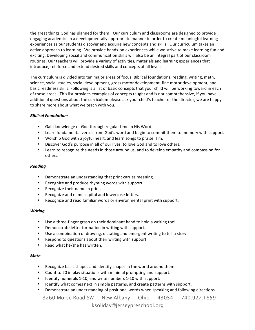the great things God has planned for them! Our curriculum and classrooms are designed to provide engaging academics in a developmentally appropriate manner in order to create meaningful learning experiences as our students discover and acquire new concepts and skills. Our curriculum takes an active approach to learning. We provide hands-on experiences while we strive to make learning fun and exciting. Developing social and communication skills will also be an integral part of our classroom routines. Our teachers will provide a variety of activities, materials and learning experiences that introduce, reinforce and extend desired skills and concepts at all levels.

The curriculum is divided into ten major areas of focus; Biblical foundations, reading, writing, math, science, social studies, social development, gross motor development, fine motor development, and basic readiness skills. Following is a list of basic concepts that your child will be working toward in each of these areas. This list provides examples of concepts taught and is not comprehensive, if you have additional questions about the curriculum please ask your child's teacher or the director, we are happy to share more about what we teach with you.

# *Biblical Foundations*

- Gain knowledge of God through regular time in His Word.
- Learn fundamental verses from God's word and begin to commit them to memory with support.
- Worship God with a joyful heart, and learn songs to praise Him.
- Discover God's purpose in all of our lives, to love God and to love others.
- Learn to recognize the needs in those around us, and to develop empathy and compassion for others.

# *Reading*

- Demonstrate an understanding that print carries meaning.
- Recognize and produce rhyming words with support.
- Recognize their name in print.
- Recognize and name capital and lowercase letters.
- Recognize and read familiar words or environmental print with support.

# *Writing*

- Use a three-finger grasp on their dominant hand to hold a writing tool.
- Demonstrate letter formation in writing with support.
- Use a combination of drawing, dictating and emergent writing to tell a story.
- Respond to questions about their writing with support.
- Read what he/she has written.

# *Math*

- Recognize basic shapes and identify shapes in the world around them.
- Count to 20 in play situations with minimal prompting and support.
- Identify numerals 1-10, and write numbers 1-10 with support.
- Identify what comes next in simple patterns, and create patterns with support.
- Demonstrate an understanding of positional words when speaking and following directions

13260 Morse Road SW New Albany Ohio 43054 740.927.1859

ksoliday@jerseypreschool.org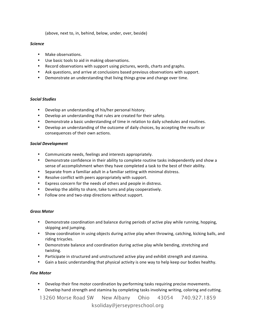(above, next to, in, behind, below, under, over, beside)

#### *Science*

- Make observations.
- Use basic tools to aid in making observations.
- Record observations with support using pictures, words, charts and graphs.
- Ask questions, and arrive at conclusions based previous observations with support.
- Demonstrate an understanding that living things grow and change over time.

# *Social Studies*

- Develop an understanding of his/her personal history.
- Develop an understanding that rules are created for their safety.
- Demonstrate a basic understanding of time in relation to daily schedules and routines.
- Develop an understanding of the outcome of daily choices, by accepting the results or consequences of their own actions.

# *Social Development*

- Communicate needs, feelings and interests appropriately.
- Demonstrate confidence in their ability to complete routine tasks independently and show a sense of accomplishment when they have completed a task to the best of their ability.
- Separate from a familiar adult in a familiar setting with minimal distress.
- Resolve conflict with peers appropriately with support.
- Express concern for the needs of others and people in distress.
- Develop the ability to share, take turns and play cooperatively.
- Follow one and two-step directions without support.

# *Gross Motor*

- Demonstrate coordination and balance during periods of active play while running, hopping, skipping and jumping.
- Show coordination in using objects during active play when throwing, catching, kicking balls, and riding tricycles.
- Demonstrate balance and coordination during active play while bending, stretching and twisting.
- Participate in structured and unstructured active play and exhibit strength and stamina.
- Gain a basic understanding that physical activity is one way to help keep our bodies healthy.

# *Fine Motor*

- Develop their fine motor coordination by performing tasks requiring precise movements.
- Develop hand strength and stamina by completing tasks involving writing, coloring and cutting.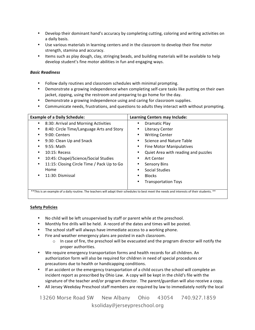- Develop their dominant hand's accuracy by completing cutting, coloring and writing activities on a daily basis.
- Use various materials in learning centers and in the classroom to develop their fine motor strength, stamina and accuracy.
- Items such as play dough, clay, stringing beads, and building materials will be available to help develop student's fine motor abilities in fun and engaging ways.

# *Basic Readiness*

- Follow daily routines and classroom schedules with minimal prompting.
- Demonstrate a growing independence when completing self-care tasks like putting on their own jacket, zipping, using the restroom and preparing to go home for the day.
- Demonstrate a growing independence using and caring for classroom supplies.
- Communicate needs, frustrations, and questions to adults they interact with without prompting.

| <b>Example of a Daily Schedule:</b>                                                                                                          | <b>Learning Centers may Include:</b> |
|----------------------------------------------------------------------------------------------------------------------------------------------|--------------------------------------|
| 8:30: Arrival and Morning Activities                                                                                                         | Dramatic Play                        |
| 8:40: Circle Time/Language Arts and Story                                                                                                    | Literacy Center<br>٠                 |
| 9:00: Centers                                                                                                                                | <b>Writing Center</b>                |
| 9:30: Clean Up and Snack                                                                                                                     | Science and Nature Table             |
| $9:55$ : Math                                                                                                                                | Fine Motor Manipulatives             |
| $10:15:$ Recess                                                                                                                              | Quiet Area with reading and puzzles  |
| 10:45: Chapel/Science/Social Studies                                                                                                         | Art Center                           |
| 11:15: Closing Circle Time / Pack Up to Go                                                                                                   | <b>Sensory Bins</b>                  |
| Home                                                                                                                                         | Social Studies                       |
| 11:30: Dismissal                                                                                                                             | <b>Blocks</b>                        |
|                                                                                                                                              | <b>Transportation Toys</b>           |
| ** This is an example of a daily routine. The teachers will adapt their schedules to best meet the needs and interests of their students. ** |                                      |

# **Safety Policies**

- No child will be left unsupervised by staff or parent while at the preschool.
- Monthly fire drills will be held. A record of the dates and times will be posted.
- The school staff will always have immediate access to a working phone.
- Fire and weather emergency plans are posted in each classroom.
	- $\circ$  In case of fire, the preschool will be evacuated and the program director will notify the proper authorities.
- We require emergency transportation forms and health records for all children. An authorization form will also be required for children in need of special procedures or precautions due to health or handicapping conditions.
- If an accident or the emergency transportation of a child occurs the school will complete an incident report as prescribed by Ohio Law. A copy will be kept in the child's file with the signature of the teacher and/or program director. The parent/guardian will also receive a copy.
- All Jersey Weekday Preschool staff members are required by law to immediately notify the local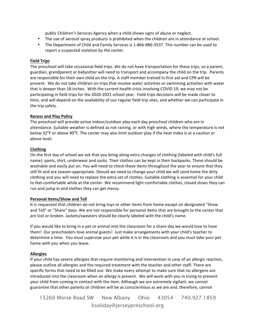public Children's Services Agency when a child shows signs of abuse or neglect.

- The use of aerosol spray products is prohibited when the children are in attendance at school.
- The Department of Child and Family Services is 1-866-886-3537. This number can be used to report a suspected violation by the center.

# **Field Trips**

The preschool will take occasional field trips. We do not have transportation for these trips, so a parent, guardian, grandparent or babysitter will need to transport and accompany the child on the trip. Parents are responsible for their own child on the trip. A staff member trained in first aid and CPR will be present. We do not take children on trips that involve water activities or swimming activities with water that is deeper than 18 inches. With the current health crisis involving COVID 19, we may not be participating in field trips for the 2020-2021 school year. Field trips decisions will be made closer to time, and will depend on the availability of our regular field trip sites, and whether we can participate in the trip safely.

#### **Recess and Play Policy**

The preschool will provide active indoor/outdoor play each day preschool children who are in attendance. Suitable weather is defined as not raining, or with high winds, where the temperature is not below 32 $\degree$ F or above 90 $\degree$ F. The center may also limit outdoor play if the heat index is at a caution or above level.

#### **Clothing**

On the first day of school we ask that you bring along extra changes of clothing (labeled with child's full name): pants, shirt, underwear and socks. Their clothes can be kept in their backpacks. These should be washable and easily put on. You will need to check these items throughout the year to ensure that they still fit and are season-appropriate. Should we need to change your child we will send home the dirty clothing and you will need to replace the extra set of clothes. Suitable clothing is essential for your child to feel comfortable while at the center. We recommend light comfortable clothes, closed shoes they can run and jump in and clothes they can get messy.

# **Personal Items/Show and Tell**

It is requested that children do not bring toys or other items from home except on designated "Show and Tell" or "Share" days. We are not responsible for personal items that are brought to the center that are lost or broken. Jackets/sweaters should be clearly labeled with the child's name.

If you would like to bring in a pet or animal into the classroom for a share day we would love to have them! Our preschoolers love animal guests! Just make arrangements with your child's teacher to determine a time. You must supervise your pet while it is in the classroom and you must take your pet home with you when you leave.

# **Allergies**

If your child has severe allergies that require monitoring and intervention in case of an allergic reaction, please outline all allergies and the required treatment with the teacher and other staff. There are specific forms that need to be filled out. We make every attempt to make sure that no allergens are introduced into the classroom when an allergy is present. We will work with you in trying to prevent your child from coming in contact with the item. Although we are extremely vigilant, we cannot guarantee that other parents or children will be as conscientious as we are and, therefore, cannot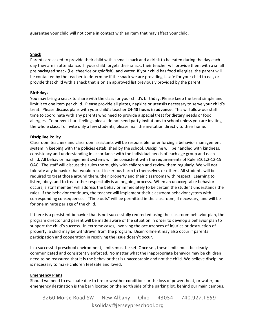guarantee your child will not come in contact with an item that may affect your child.

# **Snack**

Parents are asked to provide their child with a small snack and a drink to be eaten during the day each day they are in attendance. If your child forgets their snack, their teacher will provide them with a small pre packaged snack (i.e. cheerios or goldfish), and water. If your child has food allergies, the parent will be contacted by the teacher to determine if the snack we are providing is safe for your child to eat, or provide that child with a snack that is on an approved list previously provided by the parent.

# **Birthdays**

You may bring a snack to share with the class for your child's birthday. Please keep the treat simple and limit it to one item per child. Please provide all plates, napkins or utensils necessary to serve your child's treat. Please discuss plans with your child's teacher 24-48 hours in advance. This will allow our staff time to coordinate with any parents who need to provide a special treat for dietary needs or food allergies. To prevent hurt feelings please do not send party invitations to school unless you are inviting the whole class. To invite only a few students, please mail the invitation directly to their home.

# **Discipline Policy**

Classroom teachers and classroom assistants will be responsible for enforcing a behavior management system in keeping with the policies established by the school. Discipline will be handled with kindness, consistency and understanding in accordance with the individual needs of each age group and each child. All behavior management systems will be consistent with the requirements of Rule 5101:2-12-19 OAC. The staff will discuss the rules thoroughly with children and review them regularly. We will not tolerate any behavior that would result in serious harm to themselves or others. All students will be required to treat those around them, their property and their classrooms with respect. Learning to listen, obey, and to treat other respectfully is an ongoing process. When an unacceptable behavior occurs, a staff member will address the behavior immediately to be certain the student understands the rules. If the behavior continues, the teacher will implement their classroom behavior system with corresponding consequences. "Time outs" will be permitted in the classroom, if necessary, and will be for one minute per age of the child.

If there is a persistent behavior that is not successfully redirected using the classroom behavior plan, the program director and parent will be made aware of the situation in order to develop a behavior plan to support the child's success. In extreme cases, involving the occurrences of injuries or destruction of property, a child may be withdrawn from the program. Disenrollment may also occur if parental participation and cooperation in resolving the issue doesn't occur.

In a successful preschool environment, limits must be set. Once set, these limits must be clearly communicated and consistently enforced. No matter what the inappropriate behavior may be children need to be reassured that it is the behavior that is unacceptable and not the child. We believe discipline is necessary to make children feel safe and loved.

# **Emergency Plans**

Should we need to evacuate due to fire or weather conditions or the loss of power, heat, or water, our emergency destination is the barn located on the north side of the parking lot, behind our main campus.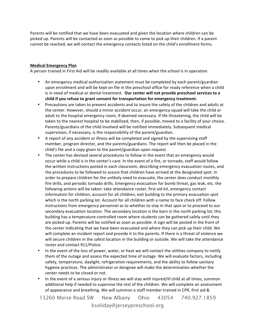Parents will be notified that we have been evacuated and given the location where children can be picked up. Parents will be contacted as soon as possible to come to pick up their children. If a parent cannot be reached, we will contact the emergency contacts listed on the child's enrollment forms.

#### **Medical Emergency Plan**

A person trained in First Aid will be readily available at all times when the school is in operation.

- An emergency medical authorization statement must be completed by each parent/guardian upon enrollment and will be kept on file in the preschool office for ready reference when a child is in need of medical or dental treatment. Our center will not provide preschool services to a child if you refuse to grant consent for transportation for emergency treatment.
- Precautions are taken to prevent accidents and to insure the safety of the children and adults at the center. However, should a minor accident occur, an emergency squad will take the child or adult to the hospital emergency room, if deemed necessary. If life threatening, the child will be taken to the nearest hospital to be stabilized, then, if possible, moved to a facility of your choice. Parents/guardians of the child involved will be notified immediately. Subsequent medical supervision, if necessary, is the responsibility of the parent/guardian.
- A report of any accident or illness will be completed and signed by the supervising staff member, program director, and the parents/guardians. The report will then be placed in the child's file and a copy given to the parent/guardian upon request.
- The center has devised several procedures to follow in the event that an emergency would occur while a child is in the center's care. In the event of a fire, or tornado, staff would follow the written instructions posted in each classroom, describing emergency evacuation routes, and the procedures to be followed to assure that children have arrived at the designated spot. In order to prepare children for the unlikely need to evacuate, the center does conduct monthly fire drills, and periodic tornado drills. Emergency evacuation for bomb threat, gas leak, etc. the following actions will be taken: take attendance roster, first aid kit, emergency contact information for children, account for all children, exit building to the primary evacuation spot which is the north parking lot. Account for all children with a name to face check off. Follow instructions from emergency personnel as to whether to stay in that spot or to proceed to our secondary evacuation location. The secondary location is the barn in the north parking lot; this building has a temperature-controlled room where students can be gathered safely until they are picked up. Parents will be notified as soon as possible. A sign will be posted in the front of the center indicating that we have been evacuated and where they can pick up their child. We will complete an incident report and provide it to the parents. If there is a threat of violence we will secure children in the safest location in the building or outside. We will take the attendance roster and contact 911/Police.
- In the event of the loss of power, water, or heat we will contact the utilities company to notify them of the outage and assess the expected time of outage. We will evaluate factors, including safety, temperature, daylight, refrigeration requirements, and the ability to follow sanitary hygiene practices. The administrator or designee will make the determination whether the center needs to be closed or not.
- In the event of a serious injury or illness we will stay with injured/ill child at all times, summon additional help if needed to supervise the rest of the children. We will complete an assessment of appearance and breathing. We will summon a staff member trained in CPR, first aid &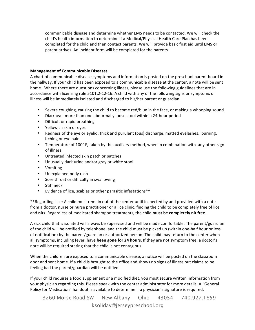communicable disease and determine whether EMS needs to be contacted. We will check the child's health information to determine if a Medical/Physical Health Care Plan has been completed for the child and then contact parents. We will provide basic first aid until EMS or parent arrives. An incident form will be completed for the parents.

# **Management of Communicable Diseases**

A chart of communicable disease symptoms and information is posted on the preschool parent board in the hallway. If your child has been exposed to a communicable disease at the center, a note will be sent home. Where there are questions concerning illness, please use the following guidelines that are in accordance with licensing rule 5101:2-12-16. A child with any of the following signs or symptoms of illness will be immediately isolated and discharged to his/her parent or guardian.

- Severe coughing, causing the child to become red/blue in the face, or making a whooping sound
- Diarrhea more than one abnormally loose stool within a 24-hour period
- Difficult or rapid breathing
- Yellowish skin or eyes
- Redness of the eye or eyelid, thick and purulent (pus) discharge, matted eyelashes, burning, itching or eye pain
- Temperature of 100° F, taken by the auxiliary method, when in combination with any other sign of illness
- Untreated infected skin patch or patches
- Unusually dark urine and/or gray or white stool
- Vomiting
- Unexplained body rash
- Sore throat or difficulty in swallowing
- Stiff neck
- Evidence of lice, scabies or other parasitic infestations\*\*

\*\* Regarding Lice: A child must remain out of the center until inspected by and provided with a note from a doctor, nurse or nurse practitioner or a lice clinic, finding the child to be completely free of lice and nits. Regardless of medicated shampoo treatments, the child must be completely nit free.

A sick child that is isolated will always be supervised and will be made comfortable. The parent/guardian of the child will be notified by telephone, and the child must be picked up (within one-half hour or less of notification) by the parent/guardian or authorized person. The child may return to the center when all symptoms, including fever, have **been gone for 24 hours**. If they are not symptom free, a doctor's note will be required stating that the child is not contagious.

When the children are exposed to a communicable disease, a notice will be posted on the classroom door and sent home. If a child is brought to the office and shows no signs of illness but claims to be feeling bad the parent/guardian will be notified.

If your child requires a food supplement or a modified diet, you must secure written information from your physician regarding this. Please speak with the center administrator for more details. A "General Policy for Medication" handout is available to determine if a physician's signature is required.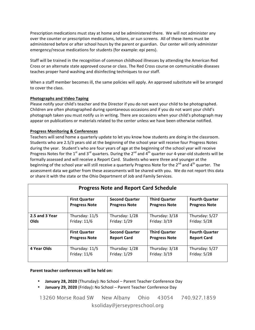Prescription medications must stay at home and be administered there. We will not administer any over the counter or prescription medications, lotions, or sun screens. All of these items must be administered before or after school hours by the parent or guardian. Our center will only administer emergency/rescue medications for students (for example: epi pens).

Staff will be trained in the recognition of common childhood illnesses by attending the American Red Cross or an alternate state approved course or class. The Red Cross course on communicable diseases teaches proper hand washing and disinfecting techniques to our staff.

When a staff member becomes ill, the same policies will apply. An approved substitute will be arranged to cover the class.

# **Photographs and Video Taping**

Please notify your child's teacher and the Director if you do not want your child to be photographed. Children are often photographed during spontaneous occasions and if you do not want your child's photograph taken you must notify us in writing. There are occasions when your child's photograph may appear on publications or materials related to the center unless we have been otherwise notified.

# **Progress Monitoring & Conferences**

Teachers will send home a quarterly update to let you know how students are doing in the classroom. Students who are 2.5/3 years old at the beginning of the school year will receive four Progress Notes during the year. Student's who are four years of age at the beginning of the school year will receive Progress Notes for the 1<sup>st</sup> and 3<sup>rd</sup> quarters. During the 2<sup>nd</sup> and  $\tilde{A}^{th}$  quarter our 4-year-old students will be formally assessed and will receive a Report Card. Students who were three and younger at the beginning of the school year will still receive a quarterly Progress Note for the 2<sup>nd</sup> and 4<sup>th</sup> quarter. The assessment data we gather from these assessments will be shared with you. We do not report this data or share it with the state or the Ohio Department of Job and Family Services.

|                |                      | <b>Progress Note and Report Card Schedule</b> |                      |                       |
|----------------|----------------------|-----------------------------------------------|----------------------|-----------------------|
|                | <b>First Quarter</b> | <b>Second Quarter</b>                         | <b>Third Quarter</b> | <b>Fourth Quarter</b> |
|                | <b>Progress Note</b> | <b>Progress Note</b>                          | <b>Progress Note</b> | <b>Progress Note</b>  |
| 2.5 and 3 Year | Thursday: 11/5       | Thursday: 1/28                                | Thursday: 3/18       | Thursday: 5/27        |
| Olds           | Friday: $11/6$       | Friday: 1/29                                  | Friday: $3/19$       | Friday: $5/28$        |
|                | <b>First Quarter</b> | <b>Second Quarter</b>                         | <b>Third Quarter</b> | <b>Fourth Quarter</b> |
|                | <b>Progress Note</b> | <b>Report Card</b>                            | <b>Progress Note</b> | <b>Report Card</b>    |
| 4 Year Olds    | Thursday: 11/5       | Thursday: 1/28                                | Thursday: 3/18       | Thursday: 5/27        |
|                | Friday: $11/6$       | Friday: $1/29$                                | Friday: $3/19$       | Friday: $5/28$        |

#### **Parent teacher conferences will be held on:**

- **January 28, 2020** (Thursday): No School Parent Teacher Conference Day
- January 29, 2020 (Friday): No School Parent Teacher Conference Day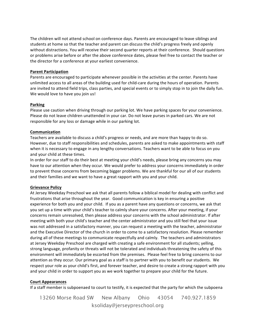The children will not attend school on conference days. Parents are encouraged to leave siblings and students at home so that the teacher and parent can discuss the child's progress freely and openly without distractions. You will receive their second quarter reports at their conference. Should questions or problems arise before or after the above conference dates, please feel free to contact the teacher or the director for a conference at your earliest convenience.

#### **Parent Participation**

Parents are encouraged to participate whenever possible in the activities at the center. Parents have unlimited access to all areas of the building used for child-care during the hours of operation. Parents are invited to attend field trips, class parties, and special events or to simply stop in to join the daily fun. We would love to have you join us!

#### **Parking**

Please use caution when driving through our parking lot. We have parking spaces for your convenience. Please do not leave children unattended in your car. Do not leave purses in parked cars. We are not responsible for any loss or damage while in our parking lot.

#### **Communication**

Teachers are available to discuss a child's progress or needs, and are more than happy to do so. However, due to staff responsibilities and schedules, parents are asked to make appointments with staff when it is necessary to engage in any lengthy conversations. Teachers want to be able to focus on you and your child at these times.

In order for our staff to do their best at meeting your child's needs, please bring any concerns you may have to our attention when they occur. We would prefer to address your concerns immediately in order to prevent those concerns from becoming bigger problems. We are thankful for our all of our students and their families and we want to have a great rapport with you and your child.

# **Grievance Policy**

At Jersey Weekday Preschool we ask that all parents follow a biblical model for dealing with conflict and frustrations that arise throughout the year. Good communication is key in ensuring a positive experience for both you and your child. If you as a parent have any questions or concerns, we ask that you set up a time with your child's teacher to calmly share your concerns. After your meeting, if your concerns remain unresolved, then please address your concerns with the school administrator. If after meeting with both your child's teacher and the center administrator and you still feel that your issue was not addressed in a satisfactory manner, you can request a meeting with the teacher, administrator and the Executive Director of the church in order to come to a satisfactory resolution. Please remember during all of these meetings to communicate respectfully and calmly. The teachers and administrators at Jersey Weekday Preschool are charged with creating a safe environment for all students; yelling, strong language, profanity or threats will not be tolerated and individuals threatening the safety of this environment will immediately be escorted from the premises. Please feel free to bring concerns to our attention as they occur. Our primary goal as a staff is to partner with you to benefit our students. We respect your role as your child's first, and forever teacher, and desire to create a strong rapport with you and your child in order to support you as we work together to prepare your child for the future.

# **Court Appearances**

If a staff member is subpoenaed to court to testify, it is expected that the party for which the subpoena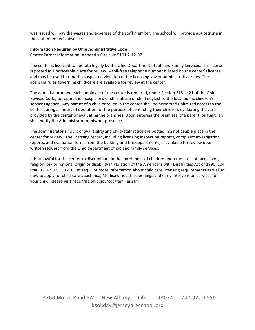was issued will pay the wages and expenses of the staff member. The school will provide a substitute in the staff member's absence.

#### **Information Required by Ohio Administrative Code**

Center Parent Information: Appendix C to rule 5101:2-12-07

The center is licensed to operate legally by the Ohio Department of Job and Family Services. This license is posted in a noticeable place for review. A toll-free telephone number is listed on the center's license and may be used to report a suspected violation of the licensing law or administrative rules. The licensing rules governing child-care are available for review at the center.

The administrator and each employee of the center is required, under Section 2151.421 of the Ohio Revised Code, to report their suspicions of child abuse or child neglect to the local public children's services agency. Any parent of a child enrolled in the center shall be permitted unlimited access to the center during all hours of operation for the purpose of contacting their children, evaluating the care provided by the center or evaluating the premises. Upon entering the premises, the parent, or guardian shall notify the Administrator of his/her presence.

The administrator's hours of availability and child/staff ratios are posted in a noticeable place in the center for review. The licensing record, including licensing inspection reports, complaint investigation reports, and evaluation forms from the building and fire departments, is available for review upon written request from the Ohio department of job and family services.

It is unlawful for the center to discriminate in the enrollment of children upon the basis of race, color, religion, sex or national origin or disability in violation of the Americans with Disabilities Act of 1990, 104 Stat. 32, 42 U.S.C. 12101 et seq. For more information about child care licensing requirements as well as how to apply for child-care assistance, Medicaid health screenings and early intervention services for your child, please visit http://jfs.ohio.gov/cdc/families.stm